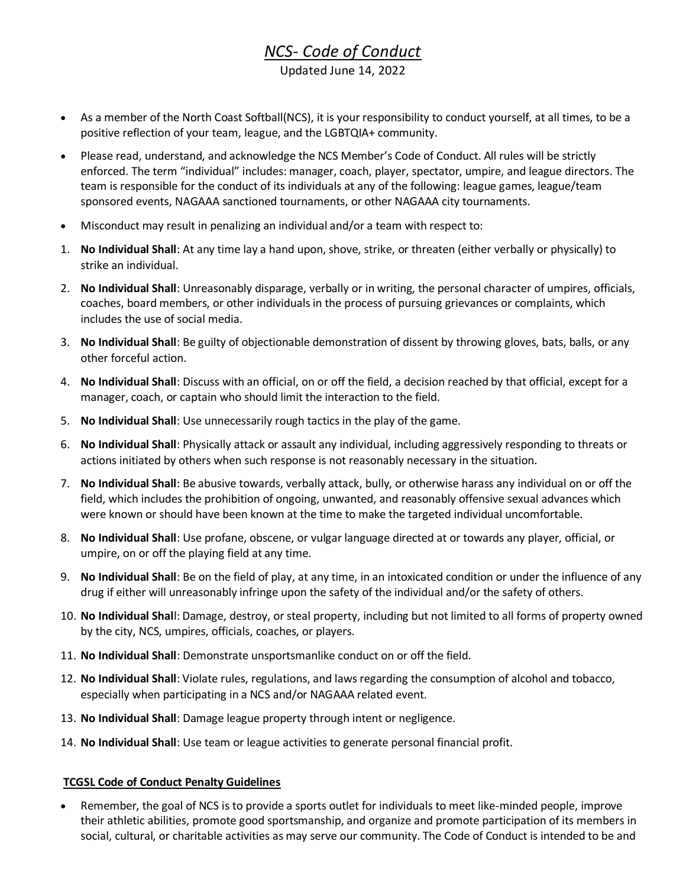## *NCS- Code of Conduct*

## Updated June 14, 2022

- As a member of the North Coast Softball(NCS), it is your responsibility to conduct yourself, at all times, to be a positive reflection of your team, league, and the LGBTQIA+ community.
- Please read, understand, and acknowledge the NCS Member's Code of Conduct. All rules will be strictly enforced. The term "individual" includes: manager, coach, player, spectator, umpire, and league directors. The team is responsible for the conduct of its individuals at any of the following: league games, league/team sponsored events, NAGAAA sanctioned tournaments, or other NAGAAA city tournaments.
- Misconduct may result in penalizing an individual and/or a team with respect to:
- 1. **No Individual Shall**: At any time lay a hand upon, shove, strike, or threaten (either verbally or physically) to strike an individual.
- 2. **No Individual Shall**: Unreasonably disparage, verbally or in writing, the personal character of umpires, officials, coaches, board members, or other individuals in the process of pursuing grievances or complaints, which includes the use of social media.
- 3. **No Individual Shall**: Be guilty of objectionable demonstration of dissent by throwing gloves, bats, balls, or any other forceful action.
- 4. **No Individual Shall**: Discuss with an official, on or off the field, a decision reached by that official, except for a manager, coach, or captain who should limit the interaction to the field.
- 5. **No Individual Shall**: Use unnecessarily rough tactics in the play of the game.
- 6. **No Individual Shall**: Physically attack or assault any individual, including aggressively responding to threats or actions initiated by others when such response is not reasonably necessary in the situation.
- 7. **No Individual Shall**: Be abusive towards, verbally attack, bully, or otherwise harass any individual on or off the field, which includes the prohibition of ongoing, unwanted, and reasonably offensive sexual advances which were known or should have been known at the time to make the targeted individual uncomfortable.
- 8. **No Individual Shall**: Use profane, obscene, or vulgar language directed at or towards any player, official, or umpire, on or off the playing field at any time.
- 9. **No Individual Shall**: Be on the field of play, at any time, in an intoxicated condition or under the influence of any drug if either will unreasonably infringe upon the safety of the individual and/or the safety of others.
- 10. **No Individual Shal**l: Damage, destroy, or steal property, including but not limited to all forms of property owned by the city, NCS, umpires, officials, coaches, or players.
- 11. **No Individual Shall**: Demonstrate unsportsmanlike conduct on or off the field.
- 12. **No Individual Shall**: Violate rules, regulations, and laws regarding the consumption of alcohol and tobacco, especially when participating in a NCS and/or NAGAAA related event.
- 13. **No Individual Shall**: Damage league property through intent or negligence.
- 14. **No Individual Shall**: Use team or league activities to generate personal financial profit.

## **TCGSL Code of Conduct Penalty Guidelines**

• Remember, the goal of NCS is to provide a sports outlet for individuals to meet like-minded people, improve their athletic abilities, promote good sportsmanship, and organize and promote participation of its members in social, cultural, or charitable activities as may serve our community. The Code of Conduct is intended to be and